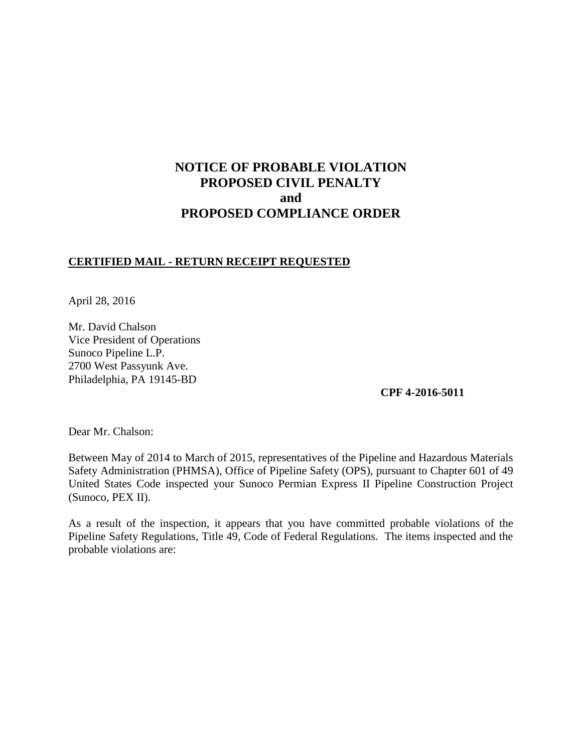# **NOTICE OF PROBABLE VIOLATION PROPOSED CIVIL PENALTY and PROPOSED COMPLIANCE ORDER**

# **CERTIFIED MAIL - RETURN RECEIPT REQUESTED**

April 28, 2016

Mr. David Chalson Vice President of Operations Sunoco Pipeline L.P. 2700 West Passyunk Ave. Philadelphia, PA 19145-BD

**CPF 4-2016-5011** 

Dear Mr. Chalson:

Between May of 2014 to March of 2015, representatives of the Pipeline and Hazardous Materials Safety Administration (PHMSA), Office of Pipeline Safety (OPS), pursuant to Chapter 601 of 49 United States Code inspected your Sunoco Permian Express II Pipeline Construction Project (Sunoco, PEX II).

As a result of the inspection, it appears that you have committed probable violations of the Pipeline Safety Regulations, Title 49, Code of Federal Regulations. The items inspected and the probable violations are: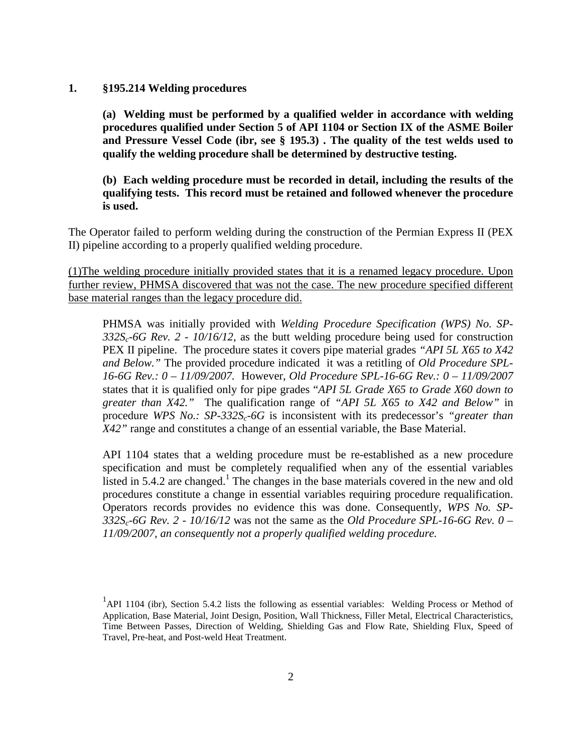#### **1. §195.214 Welding procedures**

**(a) Welding must be performed by a qualified welder in accordance with welding procedures qualified under Section 5 of API 1104 or Section IX of the ASME Boiler and Pressure Vessel Code (ibr, see § 195.3) . The quality of the test welds used to qualify the welding procedure shall be determined by destructive testing.**

**(b) Each welding procedure must be recorded in detail, including the results of the qualifying tests. This record must be retained and followed whenever the procedure is used.**

The Operator failed to perform welding during the construction of the Permian Express II (PEX II) pipeline according to a properly qualified welding procedure.

(1)The welding procedure initially provided states that it is a renamed legacy procedure. Upon further review, PHMSA discovered that was not the case. The new procedure specified different base material ranges than the legacy procedure did.

PHMSA was initially provided with *Welding Procedure Specification (WPS) No. SP-332Sc-6G Rev. 2 - 10/16/12*, as the butt welding procedure being used for construction PEX II pipeline. The procedure states it covers pipe material grades *"API 5L X65 to X42 and Below."* The provided procedure indicated it was a retitling of *Old Procedure SPL-16-6G Rev.: 0 – 11/09/2007.* However, *Old Procedure SPL-16-6G Rev.: 0 – 11/09/2007*  states that it is qualified only for pipe grades "*API 5L Grade X65 to Grade X60 down to greater than X42."* The qualification range of *"API 5L X65 to X42 and Below"* in procedure *WPS No.: SP-332S<sub>c</sub>-6G* is inconsistent with its predecessor's *"greater than X42"* range and constitutes a change of an essential variable, the Base Material.

API 1104 states that a welding procedure must be re-established as a new procedure specification and must be completely requalified when any of the essential variables listed in 5.4.2 are changed.<sup>1</sup> The changes in the base materials covered in the new and old procedures constitute a change in essential variables requiring procedure requalification. Operators records provides no evidence this was done. Consequently, *WPS No. SP-332Sc-6G Rev. 2 - 10/16/12* was not the same as the *Old Procedure SPL-16-6G Rev. 0 – 11/09/2007, an consequently not a properly qualified welding procedure.* 

<sup>&</sup>lt;sup>1</sup>API 1104 (ibr), Section 5.4.2 lists the following as essential variables: Welding Process or Method of Application, Base Material, Joint Design, Position, Wall Thickness, Filler Metal, Electrical Characteristics, Time Between Passes, Direction of Welding, Shielding Gas and Flow Rate, Shielding Flux, Speed of Travel, Pre-heat, and Post-weld Heat Treatment.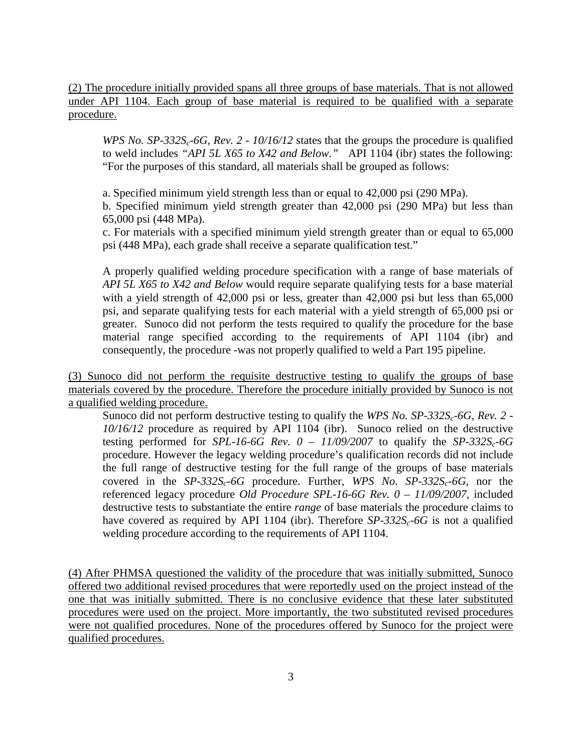(2) The procedure initially provided spans all three groups of base materials. That is not allowed under API 1104. Each group of base material is required to be qualified with a separate procedure.

*WPS No. SP-332S<sub>c</sub>-6G, Rev. 2 - 10/16/12* states that the groups the procedure is qualified to weld includes *"API 5L X65 to X42 and Below."* API 1104 (ibr) states the following: "For the purposes of this standard, all materials shall be grouped as follows:

a. Specified minimum yield strength less than or equal to 42,000 psi (290 MPa).

b. Specified minimum yield strength greater than 42,000 psi (290 MPa) but less than 65,000 psi (448 MPa).

c. For materials with a specified minimum yield strength greater than or equal to 65,000 psi (448 MPa), each grade shall receive a separate qualification test."

A properly qualified welding procedure specification with a range of base materials of *API 5L X65 to X42 and Below* would require separate qualifying tests for a base material with a yield strength of 42,000 psi or less, greater than 42,000 psi but less than 65,000 psi, and separate qualifying tests for each material with a yield strength of 65,000 psi or greater. Sunoco did not perform the tests required to qualify the procedure for the base material range specified according to the requirements of API 1104 (ibr) and consequently, the procedure -was not properly qualified to weld a Part 195 pipeline.

(3) Sunoco did not perform the requisite destructive testing to qualify the groups of base materials covered by the procedure. Therefore the procedure initially provided by Sunoco is not a qualified welding procedure.

Sunoco did not perform destructive testing to qualify the *WPS No. SP-332S<sub>c</sub>-6G, Rev. 2 -10/16/12* procedure as required by API 1104 (ibr). Sunoco relied on the destructive testing performed for *SPL-16-6G Rev.*  $0 - 11/09/2007$  to qualify the *SP-332S<sub>c</sub>-6G* procedure. However the legacy welding procedure's qualification records did not include the full range of destructive testing for the full range of the groups of base materials covered in the  $SP-332S<sub>c</sub> - 6G$  procedure. Further, *WPS* No.  $SP-332S<sub>c</sub> - 6G$ , nor the referenced legacy procedure *Old Procedure SPL-16-6G Rev. 0 – 11/09/2007,* included destructive tests to substantiate the entire *range* of base materials the procedure claims to have covered as required by API 1104 (ibr). Therefore *SP-332S<sub>c</sub>-6G* is not a qualified welding procedure according to the requirements of API 1104.

(4) After PHMSA questioned the validity of the procedure that was initially submitted, Sunoco offered two additional revised procedures that were reportedly used on the project instead of the one that was initially submitted. There is no conclusive evidence that these later substituted procedures were used on the project. More importantly, the two substituted revised procedures were not qualified procedures. None of the procedures offered by Sunoco for the project were qualified procedures.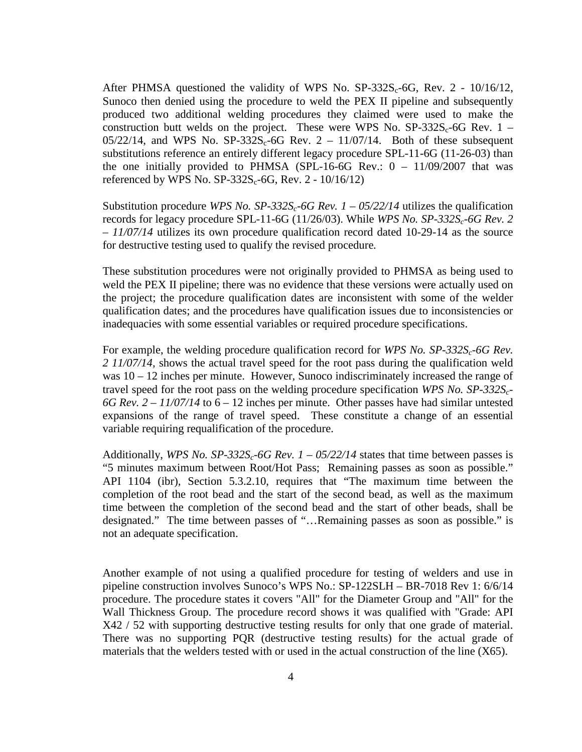After PHMSA questioned the validity of WPS No.  $SP-332S_c-6G$ , Rev. 2 - 10/16/12, Sunoco then denied using the procedure to weld the PEX II pipeline and subsequently produced two additional welding procedures they claimed were used to make the construction butt welds on the project. These were WPS No.  $SP-332S_c-6G$  Rev. 1 –  $05/22/14$ , and WPS No. SP-332S<sub>c</sub>-6G Rev. 2 – 11/07/14. Both of these subsequent substitutions reference an entirely different legacy procedure SPL-11-6G (11-26-03) than the one initially provided to PHMSA (SPL-16-6G Rev.:  $0 - 11/09/2007$  that was referenced by WPS No.  $SP-332S_c-6G$ , Rev. 2 - 10/16/12)

Substitution procedure *WPS No. SP-332S<sub>c</sub>-6G Rev. 1 – 05/22/14* utilizes the qualification records for legacy procedure SPL-11-6G (11/26/03). While *WPS No. SP-332S<sub>c</sub>-6G Rev. 2 – 11/07/14* utilizes its own procedure qualification record dated 10-29-14 as the source for destructive testing used to qualify the revised procedure*.* 

These substitution procedures were not originally provided to PHMSA as being used to weld the PEX II pipeline; there was no evidence that these versions were actually used on the project; the procedure qualification dates are inconsistent with some of the welder qualification dates; and the procedures have qualification issues due to inconsistencies or inadequacies with some essential variables or required procedure specifications.

For example, the welding procedure qualification record for *WPS No. SP-332S<sub>c</sub>-6G Rev. 2 11/07/14,* shows the actual travel speed for the root pass during the qualification weld was  $10 - 12$  inches per minute. However, Sunoco indiscriminately increased the range of travel speed for the root pass on the welding procedure specification *WPS No. SP-332Sc-* $6G$  Rev.  $2 - 11/07/14$  to  $6 - 12$  inches per minute. Other passes have had similar untested expansions of the range of travel speed. These constitute a change of an essential variable requiring requalification of the procedure.

Additionally, *WPS No. SP-332S<sub>c</sub>-6G Rev.*  $I - 05/22/14$  states that time between passes is "5 minutes maximum between Root/Hot Pass; Remaining passes as soon as possible." API 1104 (ibr), Section 5.3.2.10, requires that "The maximum time between the completion of the root bead and the start of the second bead, as well as the maximum time between the completion of the second bead and the start of other beads, shall be designated." The time between passes of "…Remaining passes as soon as possible." is not an adequate specification.

Another example of not using a qualified procedure for testing of welders and use in pipeline construction involves Sunoco's WPS No.: SP-122SLH – BR-7018 Rev 1: 6/6/14 procedure. The procedure states it covers "All" for the Diameter Group and "All" for the Wall Thickness Group. The procedure record shows it was qualified with "Grade: API X42 / 52 with supporting destructive testing results for only that one grade of material. There was no supporting PQR (destructive testing results) for the actual grade of materials that the welders tested with or used in the actual construction of the line (X65).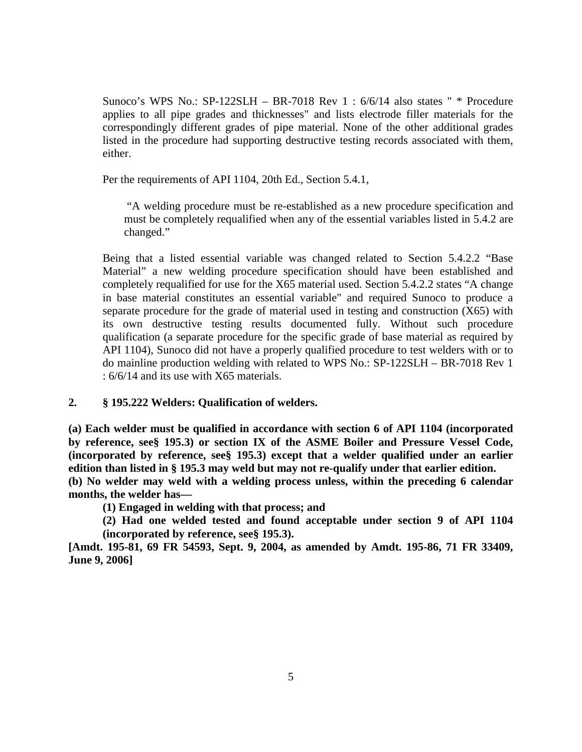Sunoco's WPS No.: SP-122SLH – BR-7018 Rev 1 : 6/6/14 also states " \* Procedure applies to all pipe grades and thicknesses" and lists electrode filler materials for the correspondingly different grades of pipe material. None of the other additional grades listed in the procedure had supporting destructive testing records associated with them, either.

Per the requirements of API 1104, 20th Ed., Section 5.4.1,

"A welding procedure must be re-established as a new procedure specification and must be completely requalified when any of the essential variables listed in 5.4.2 are changed."

Being that a listed essential variable was changed related to Section 5.4.2.2 "Base Material" a new welding procedure specification should have been established and completely requalified for use for the X65 material used. Section 5.4.2.2 states "A change in base material constitutes an essential variable" and required Sunoco to produce a separate procedure for the grade of material used in testing and construction (X65) with its own destructive testing results documented fully. Without such procedure qualification (a separate procedure for the specific grade of base material as required by API 1104), Sunoco did not have a properly qualified procedure to test welders with or to do mainline production welding with related to WPS No.: SP-122SLH – BR-7018 Rev 1 : 6/6/14 and its use with X65 materials.

# **2. § 195.222 Welders: Qualification of welders.**

**(a) Each welder must be qualified in accordance with section 6 of API 1104 (incorporated by reference, see§ 195.3) or section IX of the ASME Boiler and Pressure Vessel Code, (incorporated by reference, see§ 195.3) except that a welder qualified under an earlier edition than listed in § 195.3 may weld but may not re-qualify under that earlier edition. (b) No welder may weld with a welding process unless, within the preceding 6 calendar** 

**months, the welder has—** 

**(1) Engaged in welding with that process; and** 

**(2) Had one welded tested and found acceptable under section 9 of API 1104 (incorporated by reference, see§ 195.3).** 

**[Amdt. 195-81, 69 FR 54593, Sept. 9, 2004, as amended by Amdt. 195-86, 71 FR 33409, June 9, 2006]**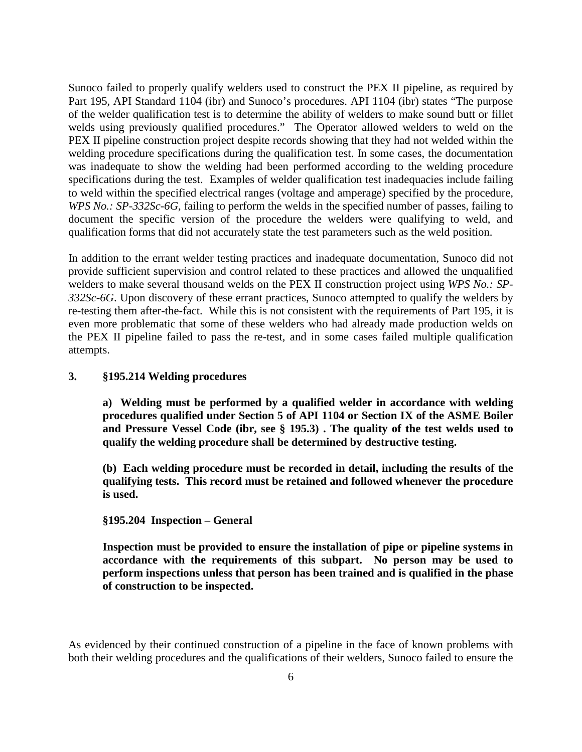Sunoco failed to properly qualify welders used to construct the PEX II pipeline, as required by Part 195, API Standard 1104 (ibr) and Sunoco's procedures. API 1104 (ibr) states "The purpose of the welder qualification test is to determine the ability of welders to make sound butt or fillet welds using previously qualified procedures." The Operator allowed welders to weld on the PEX II pipeline construction project despite records showing that they had not welded within the welding procedure specifications during the qualification test. In some cases, the documentation was inadequate to show the welding had been performed according to the welding procedure specifications during the test. Examples of welder qualification test inadequacies include failing to weld within the specified electrical ranges (voltage and amperage) specified by the procedure, *WPS No.: SP-332Sc-6G, failing to perform the welds in the specified number of passes, failing to* document the specific version of the procedure the welders were qualifying to weld, and qualification forms that did not accurately state the test parameters such as the weld position.

In addition to the errant welder testing practices and inadequate documentation, Sunoco did not provide sufficient supervision and control related to these practices and allowed the unqualified welders to make several thousand welds on the PEX II construction project using *WPS No.: SP-332Sc-6G*. Upon discovery of these errant practices, Sunoco attempted to qualify the welders by re-testing them after-the-fact. While this is not consistent with the requirements of Part 195, it is even more problematic that some of these welders who had already made production welds on the PEX II pipeline failed to pass the re-test, and in some cases failed multiple qualification attempts.

### **3. §195.214 Welding procedures**

**a) Welding must be performed by a qualified welder in accordance with welding procedures qualified under Section 5 of API 1104 or Section IX of the ASME Boiler and Pressure Vessel Code (ibr, see § 195.3) . The quality of the test welds used to qualify the welding procedure shall be determined by destructive testing.**

**(b) Each welding procedure must be recorded in detail, including the results of the qualifying tests. This record must be retained and followed whenever the procedure is used.**

**§195.204 Inspection – General**

**Inspection must be provided to ensure the installation of pipe or pipeline systems in accordance with the requirements of this subpart. No person may be used to perform inspections unless that person has been trained and is qualified in the phase of construction to be inspected.**

As evidenced by their continued construction of a pipeline in the face of known problems with both their welding procedures and the qualifications of their welders, Sunoco failed to ensure the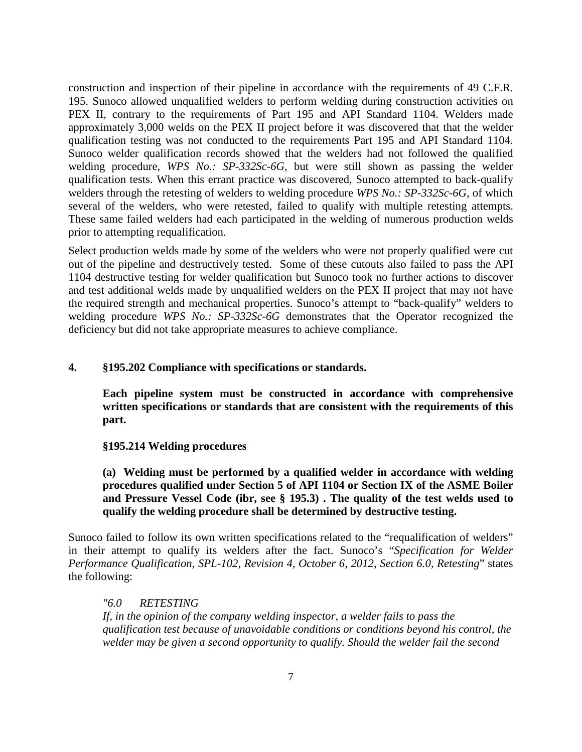construction and inspection of their pipeline in accordance with the requirements of 49 C.F.R. 195. Sunoco allowed unqualified welders to perform welding during construction activities on PEX II, contrary to the requirements of Part 195 and API Standard 1104. Welders made approximately 3,000 welds on the PEX II project before it was discovered that that the welder qualification testing was not conducted to the requirements Part 195 and API Standard 1104. Sunoco welder qualification records showed that the welders had not followed the qualified welding procedure, *WPS No.: SP-332Sc-6G*, but were still shown as passing the welder qualification tests. When this errant practice was discovered, Sunoco attempted to back-qualify welders through the retesting of welders to welding procedure *WPS No.: SP-332Sc-6G*, of which several of the welders, who were retested, failed to qualify with multiple retesting attempts. These same failed welders had each participated in the welding of numerous production welds prior to attempting requalification.

Select production welds made by some of the welders who were not properly qualified were cut out of the pipeline and destructively tested. Some of these cutouts also failed to pass the API 1104 destructive testing for welder qualification but Sunoco took no further actions to discover and test additional welds made by unqualified welders on the PEX II project that may not have the required strength and mechanical properties. Sunoco's attempt to "back-qualify" welders to welding procedure *WPS No.: SP-332Sc-6G* demonstrates that the Operator recognized the deficiency but did not take appropriate measures to achieve compliance.

### **4. §195.202 Compliance with specifications or standards.**

**Each pipeline system must be constructed in accordance with comprehensive written specifications or standards that are consistent with the requirements of this part.**

#### **§195.214 Welding procedures**

**(a) Welding must be performed by a qualified welder in accordance with welding procedures qualified under Section 5 of API 1104 or Section IX of the ASME Boiler and Pressure Vessel Code (ibr, see § 195.3) . The quality of the test welds used to qualify the welding procedure shall be determined by destructive testing.**

Sunoco failed to follow its own written specifications related to the "requalification of welders" in their attempt to qualify its welders after the fact. Sunoco's "*Specification for Welder Performance Qualification, SPL-102, Revision 4, October 6, 2012, Section 6.0, Retesting*" states the following:

# *"6.0 RETESTING*

*If, in the opinion of the company welding inspector, a welder fails to pass the qualification test because of unavoidable conditions or conditions beyond his control, the welder may be given a second opportunity to qualify. Should the welder fail the second*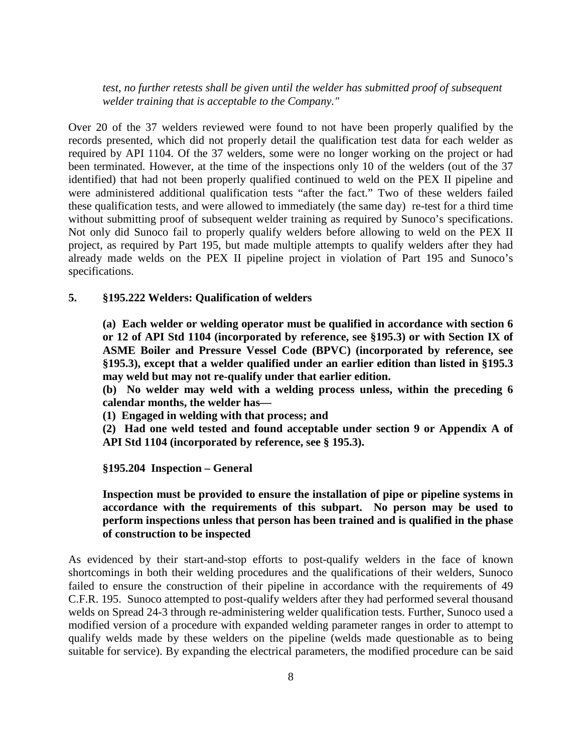*test, no further retests shall be given until the welder has submitted proof of subsequent welder training that is acceptable to the Company."* 

Over 20 of the 37 welders reviewed were found to not have been properly qualified by the records presented, which did not properly detail the qualification test data for each welder as required by API 1104. Of the 37 welders, some were no longer working on the project or had been terminated. However, at the time of the inspections only 10 of the welders (out of the 37 identified) that had not been properly qualified continued to weld on the PEX II pipeline and were administered additional qualification tests "after the fact." Two of these welders failed these qualification tests, and were allowed to immediately (the same day) re-test for a third time without submitting proof of subsequent welder training as required by Sunoco's specifications. Not only did Sunoco fail to properly qualify welders before allowing to weld on the PEX II project, as required by Part 195, but made multiple attempts to qualify welders after they had already made welds on the PEX II pipeline project in violation of Part 195 and Sunoco's specifications.

#### **5. §195.222 Welders: Qualification of welders**

**(a) Each welder or welding operator must be qualified in accordance with section 6 or 12 of API Std 1104 (incorporated by reference, see §195.3) or with Section IX of ASME Boiler and Pressure Vessel Code (BPVC) (incorporated by reference, see §195.3), except that a welder qualified under an earlier edition than listed in §195.3 may weld but may not re-qualify under that earlier edition.**

**(b) No welder may weld with a welding process unless, within the preceding 6 calendar months, the welder has—** 

**(1) Engaged in welding with that process; and**

**(2) Had one weld tested and found acceptable under section 9 or Appendix A of API Std 1104 (incorporated by reference, see § 195.3).** 

**§195.204 Inspection – General**

**Inspection must be provided to ensure the installation of pipe or pipeline systems in accordance with the requirements of this subpart. No person may be used to perform inspections unless that person has been trained and is qualified in the phase of construction to be inspected**

As evidenced by their start-and-stop efforts to post-qualify welders in the face of known shortcomings in both their welding procedures and the qualifications of their welders, Sunoco failed to ensure the construction of their pipeline in accordance with the requirements of 49 C.F.R. 195. Sunoco attempted to post-qualify welders after they had performed several thousand welds on Spread 24-3 through re-administering welder qualification tests. Further, Sunoco used a modified version of a procedure with expanded welding parameter ranges in order to attempt to qualify welds made by these welders on the pipeline (welds made questionable as to being suitable for service). By expanding the electrical parameters, the modified procedure can be said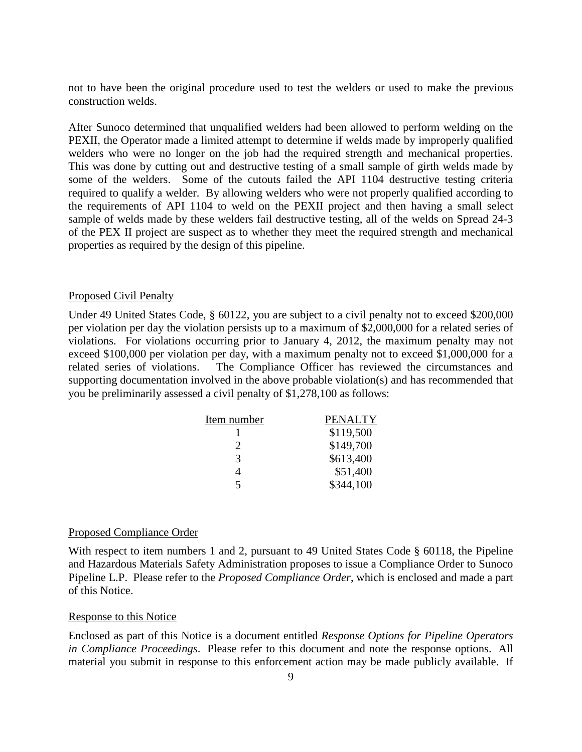not to have been the original procedure used to test the welders or used to make the previous construction welds.

After Sunoco determined that unqualified welders had been allowed to perform welding on the PEXII, the Operator made a limited attempt to determine if welds made by improperly qualified welders who were no longer on the job had the required strength and mechanical properties. This was done by cutting out and destructive testing of a small sample of girth welds made by some of the welders. Some of the cutouts failed the API 1104 destructive testing criteria required to qualify a welder. By allowing welders who were not properly qualified according to the requirements of API 1104 to weld on the PEXII project and then having a small select sample of welds made by these welders fail destructive testing, all of the welds on Spread 24-3 of the PEX II project are suspect as to whether they meet the required strength and mechanical properties as required by the design of this pipeline.

#### Proposed Civil Penalty

Under 49 United States Code, § 60122, you are subject to a civil penalty not to exceed \$200,000 per violation per day the violation persists up to a maximum of \$2,000,000 for a related series of violations. For violations occurring prior to January 4, 2012, the maximum penalty may not exceed \$100,000 per violation per day, with a maximum penalty not to exceed \$1,000,000 for a related series of violations. The Compliance Officer has reviewed the circumstances and supporting documentation involved in the above probable violation(s) and has recommended that you be preliminarily assessed a civil penalty of \$1,278,100 as follows:

| Item number | <b>PENALTY</b> |
|-------------|----------------|
|             | \$119,500      |
| 2           | \$149,700      |
| 3           | \$613,400      |
|             | \$51,400       |
| 5           | \$344,100      |

#### Proposed Compliance Order

With respect to item numbers 1 and 2, pursuant to 49 United States Code § 60118, the Pipeline and Hazardous Materials Safety Administration proposes to issue a Compliance Order to Sunoco Pipeline L.P. Please refer to the *Proposed Compliance Order*, which is enclosed and made a part of this Notice.

#### Response to this Notice

Enclosed as part of this Notice is a document entitled *Response Options for Pipeline Operators in Compliance Proceedings*. Please refer to this document and note the response options. All material you submit in response to this enforcement action may be made publicly available. If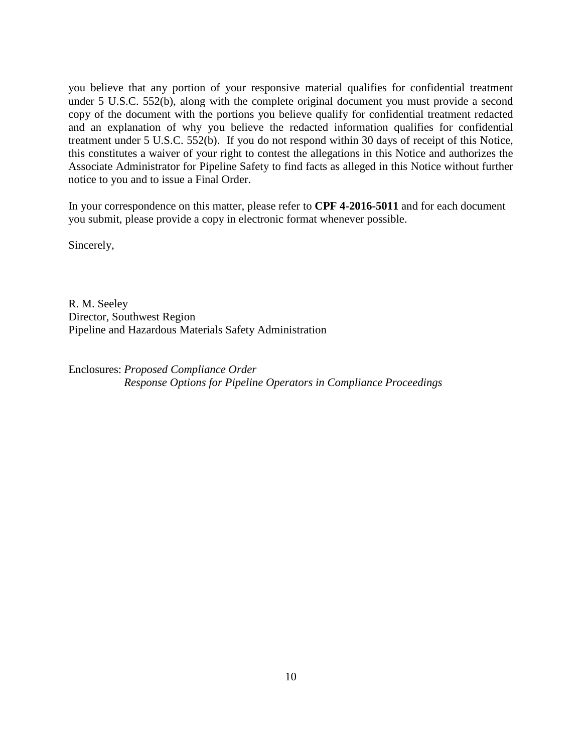you believe that any portion of your responsive material qualifies for confidential treatment under 5 U.S.C. 552(b), along with the complete original document you must provide a second copy of the document with the portions you believe qualify for confidential treatment redacted and an explanation of why you believe the redacted information qualifies for confidential treatment under 5 U.S.C. 552(b). If you do not respond within 30 days of receipt of this Notice, this constitutes a waiver of your right to contest the allegations in this Notice and authorizes the Associate Administrator for Pipeline Safety to find facts as alleged in this Notice without further notice to you and to issue a Final Order.

In your correspondence on this matter, please refer to **CPF 4-2016-5011** and for each document you submit, please provide a copy in electronic format whenever possible.

Sincerely,

R. M. Seeley Director, Southwest Region Pipeline and Hazardous Materials Safety Administration

Enclosures: *Proposed Compliance Order Response Options for Pipeline Operators in Compliance Proceedings*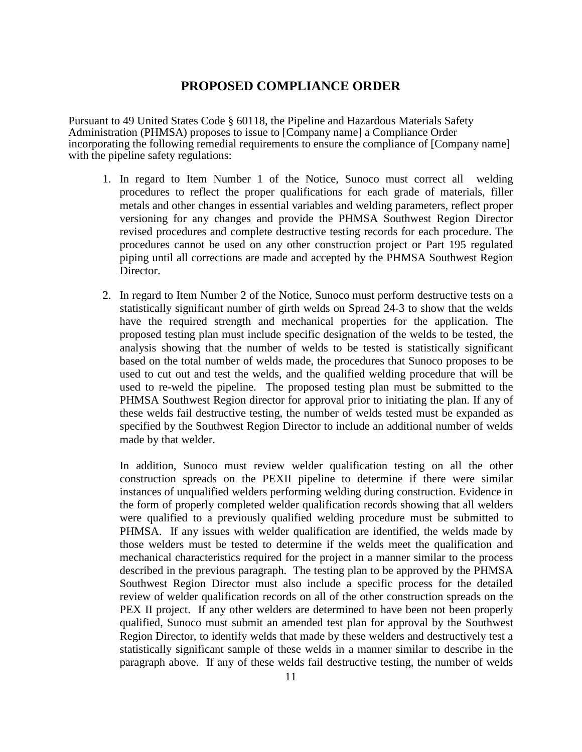# **PROPOSED COMPLIANCE ORDER**

Pursuant to 49 United States Code § 60118, the Pipeline and Hazardous Materials Safety Administration (PHMSA) proposes to issue to [Company name] a Compliance Order incorporating the following remedial requirements to ensure the compliance of [Company name] with the pipeline safety regulations:

- 1. In regard to Item Number 1 of the Notice, Sunoco must correct all welding procedures to reflect the proper qualifications for each grade of materials, filler metals and other changes in essential variables and welding parameters, reflect proper versioning for any changes and provide the PHMSA Southwest Region Director revised procedures and complete destructive testing records for each procedure. The procedures cannot be used on any other construction project or Part 195 regulated piping until all corrections are made and accepted by the PHMSA Southwest Region Director.
- 2. In regard to Item Number 2 of the Notice, Sunoco must perform destructive tests on a statistically significant number of girth welds on Spread 24-3 to show that the welds have the required strength and mechanical properties for the application. The proposed testing plan must include specific designation of the welds to be tested, the analysis showing that the number of welds to be tested is statistically significant based on the total number of welds made, the procedures that Sunoco proposes to be used to cut out and test the welds, and the qualified welding procedure that will be used to re-weld the pipeline. The proposed testing plan must be submitted to the PHMSA Southwest Region director for approval prior to initiating the plan. If any of these welds fail destructive testing, the number of welds tested must be expanded as specified by the Southwest Region Director to include an additional number of welds made by that welder.

In addition, Sunoco must review welder qualification testing on all the other construction spreads on the PEXII pipeline to determine if there were similar instances of unqualified welders performing welding during construction. Evidence in the form of properly completed welder qualification records showing that all welders were qualified to a previously qualified welding procedure must be submitted to PHMSA. If any issues with welder qualification are identified, the welds made by those welders must be tested to determine if the welds meet the qualification and mechanical characteristics required for the project in a manner similar to the process described in the previous paragraph. The testing plan to be approved by the PHMSA Southwest Region Director must also include a specific process for the detailed review of welder qualification records on all of the other construction spreads on the PEX II project. If any other welders are determined to have been not been properly qualified, Sunoco must submit an amended test plan for approval by the Southwest Region Director, to identify welds that made by these welders and destructively test a statistically significant sample of these welds in a manner similar to describe in the paragraph above. If any of these welds fail destructive testing, the number of welds